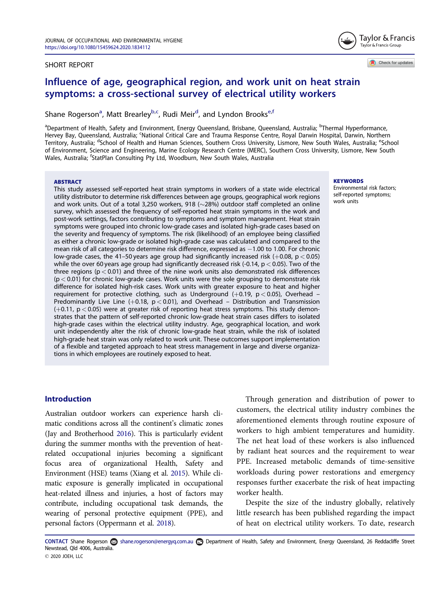#### <span id="page-0-0"></span>SHORT REPORT



Check for updates

# Influence of age, geographical region, and work unit on heat strain symptoms: a cross-sectional survey of electrical utility workers

## Shane Rogerson<sup>a</sup>, Matt Brearley<sup>b,c</sup>, Rudi Meir<sup>d</sup>, and Lyndon Brooks<sup>e,f</sup>

<sup>a</sup>Department of Health, Safety and Environment, Energy Queensland, Brisbane, Queensland, Australia; <sup>b</sup>Thermal Hyperformance, Hervey Bay, Queensland, Australia; <sup>c</sup>National Critical Care and Trauma Response Centre, Royal Darwin Hospital, Darwin, Northern Territory, Australia; <sup>d</sup>School of Health and Human Sciences, Southern Cross University, Lismore, New South Wales, Australia; <sup>e</sup>School of Environment, Science and Engineering, Marine Ecology Research Centre (MERC), Southern Cross University, Lismore, New South Wales, Australia; <sup>f</sup>StatPlan Consulting Pty Ltd, Woodburn, New South Wales, Australia

#### **ABSTRACT**

This study assessed self-reported heat strain symptoms in workers of a state wide electrical utility distributor to determine risk differences between age groups, geographical work regions and work units. Out of a total 3,250 workers, 918 ( $\sim$ 28%) outdoor staff completed an online survey, which assessed the frequency of self-reported heat strain symptoms in the work and post-work settings, factors contributing to symptoms and symptom management. Heat strain symptoms were grouped into chronic low-grade cases and isolated high-grade cases based on the severity and frequency of symptoms. The risk (likelihood) of an employee being classified as either a chronic low-grade or isolated high-grade case was calculated and compared to the mean risk of all categories to determine risk difference, expressed as  $-1.00$  to 1.00. For chronic low-grade cases, the 41–50 years age group had significantly increased risk  $(+0.08, p < 0.05)$ while the over 60 years age group had significantly decreased risk  $(-0.14, p < 0.05)$ . Two of the three regions ( $p < 0.01$ ) and three of the nine work units also demonstrated risk differences  $(p < 0.01)$  for chronic low-grade cases. Work units were the sole grouping to demonstrate risk difference for isolated high-risk cases. Work units with greater exposure to heat and higher requirement for protective clothing, such as Underground  $(+0.19, p < 0.05)$ , Overhead – Predominantly Live Line (+0.18,  $p < 0.01$ ), and Overhead – Distribution and Transmission  $(+0.11, p < 0.05)$  were at greater risk of reporting heat stress symptoms. This study demonstrates that the pattern of self-reported chronic low-grade heat strain cases differs to isolated high-grade cases within the electrical utility industry. Age, geographical location, and work unit independently alter the risk of chronic low-grade heat strain, while the risk of isolated high-grade heat strain was only related to work unit. These outcomes support implementation of a flexible and targeted approach to heat stress management in large and diverse organizations in which employees are routinely exposed to heat.

#### **KEYWORDS**

Environmental risk factors; self-reported symptoms; work units

#### Introduction

Australian outdoor workers can experience harsh climatic conditions across all the continent's climatic zones (Jay and Brotherhood [2016\)](#page-6-0). This is particularly evident during the summer months with the prevention of heatrelated occupational injuries becoming a significant focus area of organizational Health, Safety and Environment (HSE) teams (Xiang et al. [2015\)](#page-7-0). While climatic exposure is generally implicated in occupational heat-related illness and injuries, a host of factors may contribute, including occupational task demands, the wearing of personal protective equipment (PPE), and personal factors (Oppermann et al. [2018](#page-7-0)).

Through generation and distribution of power to customers, the electrical utility industry combines the aforementioned elements through routine exposure of workers to high ambient temperatures and humidity. The net heat load of these workers is also influenced by radiant heat sources and the requirement to wear PPE. Increased metabolic demands of time-sensitive workloads during power restorations and emergency responses further exacerbate the risk of heat impacting worker health.

Despite the size of the industry globally, relatively little research has been published regarding the impact of heat on electrical utility workers. To date, research

CONTACT Shane Rogerson a shane.rogerson@energyq.com.au Department of Health, Safety and Environment, Energy Queensland, 26 Reddacliffe Street Newstead, Qld 4006, Australia. 2020 JOEH, LLC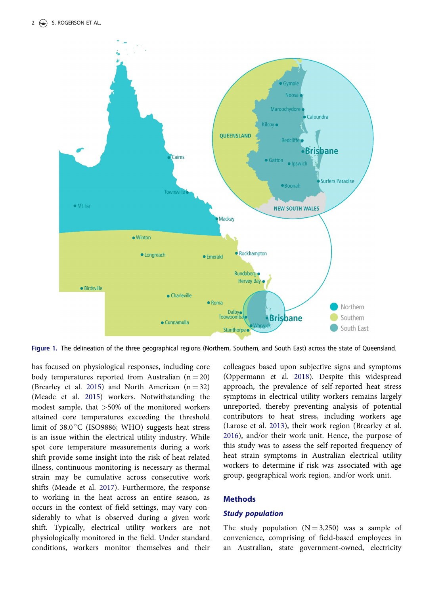<span id="page-1-0"></span>

Figure 1. The delineation of the three geographical regions (Northern, Southern, and South East) across the state of Queensland.

has focused on physiological responses, including core body temperatures reported from Australian  $(n = 20)$ (Brearley et al. [2015](#page-6-0)) and North American  $(n = 32)$ (Meade et al. [2015](#page-6-0)) workers. Notwithstanding the modest sample, that >50% of the monitored workers attained core temperatures exceeding the threshold limit of 38.0 °C (ISO9886; WHO) suggests heat stress is an issue within the electrical utility industry. While spot core temperature measurements during a work shift provide some insight into the risk of heat-related illness, continuous monitoring is necessary as thermal strain may be cumulative across consecutive work shifts (Meade et al. [2017](#page-6-0)). Furthermore, the response to working in the heat across an entire season, as occurs in the context of field settings, may vary considerably to what is observed during a given work shift. Typically, electrical utility workers are not physiologically monitored in the field. Under standard conditions, workers monitor themselves and their

colleagues based upon subjective signs and symptoms (Oppermann et al. [2018\)](#page-7-0). Despite this widespread approach, the prevalence of self-reported heat stress symptoms in electrical utility workers remains largely unreported, thereby preventing analysis of potential contributors to heat stress, including workers age (Larose et al. [2013\)](#page-6-0), their work region (Brearley et al. [2016\)](#page-6-0), and/or their work unit. Hence, the purpose of this study was to assess the self-reported frequency of heat strain symptoms in Australian electrical utility workers to determine if risk was associated with age group, geographical work region, and/or work unit.

## **Methods**

#### Study population

The study population  $(N = 3,250)$  was a sample of convenience, comprising of field-based employees in an Australian, state government-owned, electricity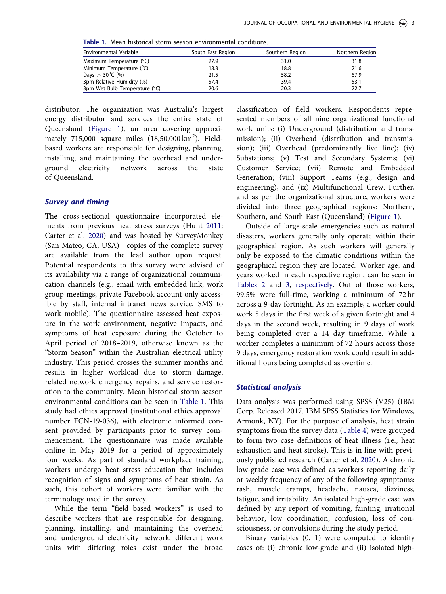<span id="page-2-0"></span>Table 1. Mean historical storm season environmental conditions.

| Environmental Variable        | South East Region | Southern Region | Northern Region |  |
|-------------------------------|-------------------|-----------------|-----------------|--|
| Maximum Temperature (°C)      | 27.9              | 31.0            | 31.8            |  |
| Minimum Temperature (°C)      | 18.3              | 18.8            | 21.6            |  |
| Days $> 30^{\circ}$ C (%)     | 21.5              | 58.2            | 67.9            |  |
| 3pm Relative Humidity (%)     | 57.4              | 39.4            | 53.1            |  |
| 3pm Wet Bulb Temperature (°C) | 20.6              | 20.3            | 22.7            |  |

distributor. The organization was Australia's largest energy distributor and services the entire state of Queensland [\(Figure 1\)](#page-1-0), an area covering approximately 715,000 square miles (18,50,000 km<sup>2</sup>). Fieldbased workers are responsible for designing, planning, installing, and maintaining the overhead and underground electricity network across the state of Queensland.

#### Survey and timing

The cross-sectional questionnaire incorporated elements from previous heat stress surveys (Hunt [2011;](#page-6-0) Carter et al. [2020\)](#page-6-0) and was hosted by SurveyMonkey (San Mateo, CA, USA)—copies of the complete survey are available from the lead author upon request. Potential respondents to this survey were advised of its availability via a range of organizational communication channels (e.g., email with embedded link, work group meetings, private Facebook account only accessible by staff, internal intranet news service, SMS to work mobile). The questionnaire assessed heat exposure in the work environment, negative impacts, and symptoms of heat exposure during the October to April period of 2018–2019, otherwise known as the "Storm Season" within the Australian electrical utility industry. This period crosses the summer months and results in higher workload due to storm damage, related network emergency repairs, and service restoration to the community. Mean historical storm season environmental conditions can be seen in Table 1. This study had ethics approval (institutional ethics approval number ECN-19-036), with electronic informed consent provided by participants prior to survey commencement. The questionnaire was made available online in May 2019 for a period of approximately four weeks. As part of standard workplace training, workers undergo heat stress education that includes recognition of signs and symptoms of heat strain. As such, this cohort of workers were familiar with the terminology used in the survey.

While the term "field based workers" is used to describe workers that are responsible for designing, planning, installing, and maintaining the overhead and underground electricity network, different work units with differing roles exist under the broad classification of field workers. Respondents represented members of all nine organizational functional work units: (i) Underground (distribution and transmission); (ii) Overhead (distribution and transmission); (iii) Overhead (predominantly live line); (iv) Substations; (v) Test and Secondary Systems; (vi) Customer Service; (vii) Remote and Embedded Generation; (viii) Support Teams (e.g., design and engineering); and (ix) Multifunctional Crew. Further, and as per the organizational structure, workers were divided into three geographical regions: Northern, Southern, and South East (Queensland) [\(Figure 1](#page-1-0)).

Outside of large-scale emergencies such as natural disasters, workers generally only operate within their geographical region. As such workers will generally only be exposed to the climatic conditions within the geographical region they are located. Worker age, and years worked in each respective region, can be seen in [Tables 2](#page-3-0) and [3,](#page-3-0) [respectively](#page-3-0). Out of those workers, 99.5% were full-time, working a minimum of 72 hr across a 9-day fortnight. As an example, a worker could work 5 days in the first week of a given fortnight and 4 days in the second week, resulting in 9 days of work being completed over a 14 day timeframe. While a worker completes a minimum of 72 hours across those 9 days, emergency restoration work could result in additional hours being completed as overtime.

#### Statistical analysis

Data analysis was performed using SPSS (V25) (IBM Corp. Released 2017. IBM SPSS Statistics for Windows, Armonk, NY). For the purpose of analysis, heat strain symptoms from the survey data [\(Table 4\)](#page-3-0) were grouped to form two case definitions of heat illness (i.e., heat exhaustion and heat stroke). This is in line with previously published research (Carter et al. [2020](#page-6-0)). A chronic low-grade case was defined as workers reporting daily or weekly frequency of any of the following symptoms: rash, muscle cramps, headache, nausea, dizziness, fatigue, and irritability. An isolated high-grade case was defined by any report of vomiting, fainting, irrational behavior, low coordination, confusion, loss of consciousness, or convulsions during the study period.

Binary variables (0, 1) were computed to identify cases of: (i) chronic low-grade and (ii) isolated high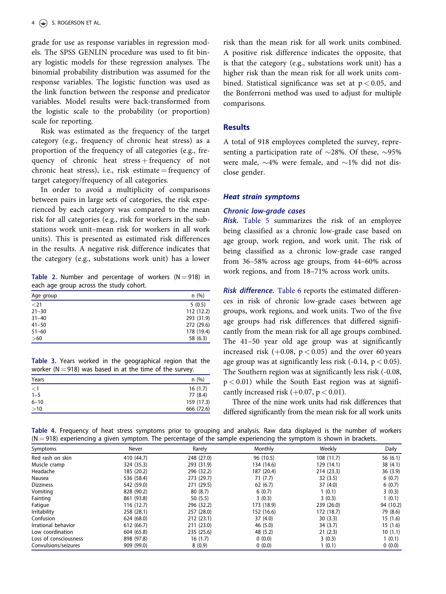<span id="page-3-0"></span>grade for use as response variables in regression models. The SPSS GENLIN procedure was used to fit binary logistic models for these regression analyses. The binomial probability distribution was assumed for the response variables. The logistic function was used as the link function between the response and predicator variables. Model results were back-transformed from the logistic scale to the probability (or proportion) scale for reporting.

Risk was estimated as the frequency of the target category (e.g., frequency of chronic heat stress) as a proportion of the frequency of all categories (e.g., frequency of chronic heat  $stress + frequency$  of not chronic heat stress), i.e., risk estimate = frequency of target category/frequency of all categories.

In order to avoid a multiplicity of comparisons between pairs in large sets of categories, the risk experienced by each category was compared to the mean risk for all categories (e.g., risk for workers in the substations work unit–mean risk for workers in all work units). This is presented as estimated risk differences in the results. A negative risk difference indicates that the category (e.g., substations work unit) has a lower

Table 2. Number and percentage of workers  $(N = 918)$  in each age group across the study cohort.

| Age group | n(%)       |
|-----------|------------|
| $21$      | 5(0.5)     |
| $21 - 30$ | 112 (12.2) |
| $31 - 40$ | 293 (31.9) |
| $41 - 50$ | 272 (29.6) |
| $51 - 60$ | 178 (19.4) |
| >60       | 58 (6.3)   |

Table 3. Years worked in the geographical region that the worker ( $N = 918$ ) was based in at the time of the survey.

| Years    | n(%)       |
|----------|------------|
| $<$ 1    | 16(1.7)    |
| $1 - 5$  | 77 (8.4)   |
| $6 - 10$ | 159 (17.3) |
| >10      | 666 (72.6) |

risk than the mean risk for all work units combined. A positive risk difference indicates the opposite, that is that the category (e.g., substations work unit) has a higher risk than the mean risk for all work units combined. Statistical significance was set at  $p < 0.05$ , and the Bonferroni method was used to adjust for multiple comparisons.

## Results

A total of 918 employees completed the survey, representing a participation rate of  $\sim$ 28%. Of these,  $\sim$ 95% were male,  $\sim$ 4% were female, and  $\sim$ 1% did not disclose gender.

#### Heat strain symptoms

#### Chronic low-grade cases

Risk. [Table 5](#page-4-0) summarizes the risk of an employee being classified as a chronic low-grade case based on age group, work region, and work unit. The risk of being classified as a chronic low-grade case ranged from 36–58% across age groups, from 44–60% across work regions, and from 18–71% across work units.

**Risk difference.** [Table 6](#page-4-0) reports the estimated differences in risk of chronic low-grade cases between age groups, work regions, and work units. Two of the five age groups had risk differences that differed significantly from the mean risk for all age groups combined. The 41–50 year old age group was at significantly increased risk  $(+0.08, p < 0.05)$  and the over 60 years age group was at significantly less risk  $(-0.14, p < 0.05)$ . The Southern region was at significantly less risk (-0.08,  $p < 0.01$ ) while the South East region was at significantly increased risk  $(+0.07, p < 0.01)$ .

Three of the nine work units had risk differences that differed significantly from the mean risk for all work units

Table 4. Frequency of heat stress symptoms prior to grouping and analysis. Raw data displayed is the number of workers  $(N = 918)$  experiencing a given symptom. The percentage of the sample experiencing the symptom is shown in brackets.

|                       |            | -          |            | . .        |           |
|-----------------------|------------|------------|------------|------------|-----------|
| Symptoms              | Never      | Rarely     | Monthly    | Weekly     | Daily     |
| Red rash on skin      | 410 (44.7) | 248 (27.0) | 96 (10.5)  | 108(11.7)  | 56 (6.1)  |
| Muscle cramp          | 324 (35.3) | 293 (31.9) | 134 (14.6) | 129 (14.1) | 38(4.1)   |
| Headache              | 185 (20.2) | 296 (32.2) | 187 (20.4) | 214 (23.3) | 36(3.9)   |
| Nausea                | 536 (58.4) | 273 (29.7) | 71 (7.7)   | 32(3.5)    | 6(0.7)    |
| <b>Dizziness</b>      | 542 (59.0) | 271 (29.5) | 62(6.7)    | 37(4.0)    | 6(0.7)    |
| Vomiting              | 828 (90.2) | 80(8.7)    | 6(0.7)     | 1(0.1)     | 3(0.3)    |
| Fainting              | 861 (93.8) | 50(5.5)    | 3(0.3)     | 3(0.3)     | 1(0.1)    |
| Fatigue               | 116(12.7)  | 296 (32.2) | 173 (18.9) | 239 (26.0) | 94 (10.2) |
| Irritability          | 258 (28.1) | 257 (28.0) | 152 (16.6) | 172 (18.7) | 79 (8.6)  |
| Confusion             | 624 (68.0) | 212 (23.1) | 37(4.0)    | 30(3.3)    | 15(1.6)   |
| Irrational behavior   | 612 (66.7) | 211 (23.0) | 46(5.0)    | 34(3.7)    | 15(1.6)   |
| Low coordination      | 604 (65.8) | 235 (25.6) | 48 (5.2)   | 21(2.3)    | 10(1.1)   |
| Loss of consciousness | 898 (97.8) | 16(1.7)    | 0(0.0)     | 3(0.3)     | 1(0.1)    |
| Convulsions/seizures  | 909 (99.0) | 8(0.9)     | 0(0.0)     | 1(0.1)     | 0(0.0)    |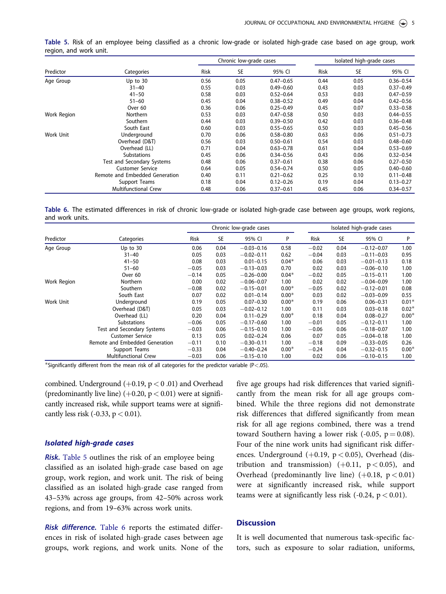|             |                                |      | Chronic low-grade cases |               | Isolated high-grade cases |           |               |
|-------------|--------------------------------|------|-------------------------|---------------|---------------------------|-----------|---------------|
| Predictor   | Categories                     | Risk | SE                      | 95% CI        | Risk                      | <b>SE</b> | 95% CI        |
| Age Group   | Up to $30$                     | 0.56 | 0.05                    | $0.47 - 0.65$ | 0.44                      | 0.05      | $0.36 - 0.54$ |
|             | $31 - 40$                      | 0.55 | 0.03                    | $0.49 - 0.60$ | 0.43                      | 0.03      | $0.37 - 0.49$ |
|             | $41 - 50$                      | 0.58 | 0.03                    | $0.52 - 0.64$ | 0.53                      | 0.03      | $0.47 - 0.59$ |
|             | $51 - 60$                      | 0.45 | 0.04                    | $0.38 - 0.52$ | 0.49                      | 0.04      | $0.42 - 0.56$ |
|             | Over 60                        | 0.36 | 0.06                    | $0.25 - 0.49$ | 0.45                      | 0.07      | $0.33 - 0.58$ |
| Work Region | Northern                       | 0.53 | 0.03                    | $0.47 - 0.58$ | 0.50                      | 0.03      | $0.44 - 0.55$ |
|             | Southern                       | 0.44 | 0.03                    | $0.39 - 0.50$ | 0.42                      | 0.03      | $0.36 - 0.48$ |
|             | South East                     | 0.60 | 0.03                    | $0.55 - 0.65$ | 0.50                      | 0.03      | $0.45 - 0.56$ |
| Work Unit   | Underground                    | 0.70 | 0.06                    | $0.58 - 0.80$ | 0.63                      | 0.06      | $0.51 - 0.73$ |
|             | Overhead (D&T)                 | 0.56 | 0.03                    | $0.50 - 0.61$ | 0.54                      | 0.03      | $0.48 - 0.60$ |
|             | Overhead (LL)                  | 0.71 | 0.04                    | $0.63 - 0.78$ | 0.61                      | 0.04      | $0.53 - 0.69$ |
|             | <b>Substations</b>             | 0.45 | 0.06                    | $0.34 - 0.56$ | 0.43                      | 0.06      | $0.32 - 0.54$ |
|             | Test and Secondary Systems     | 0.48 | 0.06                    | $0.37 - 0.61$ | 0.38                      | 0.06      | $0.27 - 0.50$ |
|             | <b>Customer Service</b>        | 0.64 | 0.05                    | $0.54 - 0.74$ | 0.50                      | 0.05      | $0.40 - 0.60$ |
|             | Remote and Embedded Generation | 0.40 | 0.11                    | $0.21 - 0.62$ | 0.25                      | 0.10      | $0.11 - 0.48$ |
|             | Support Teams                  | 0.18 | 0.04                    | $0.12 - 0.26$ | 0.19                      | 0.04      | $0.13 - 0.27$ |
|             | <b>Multifunctional Crew</b>    | 0.48 | 0.06                    | $0.37 - 0.61$ | 0.45                      | 0.06      | $0.34 - 0.57$ |

<span id="page-4-0"></span>Table 5. Risk of an employee being classified as a chronic low-grade or isolated high-grade case based on age group, work region, and work unit.

Table 6. The estimated differences in risk of chronic low-grade or isolated high-grade case between age groups, work regions, and work units.

|             |                                | Chronic low-grade cases |           |                |         |         | Isolated high-grade cases |                |         |
|-------------|--------------------------------|-------------------------|-----------|----------------|---------|---------|---------------------------|----------------|---------|
| Predictor   | Categories                     | Risk                    | <b>SE</b> | 95% CI         | P       | Risk    | <b>SE</b>                 | 95% CI         | P       |
| Age Group   | Up to $30$                     | 0.06                    | 0.04      | $-0.03 - 0.16$ | 0.58    | $-0.02$ | 0.04                      | $-0.12 - 0.07$ | 1.00    |
|             | $31 - 40$                      | 0.05                    | 0.03      | $-0.02 - 0.11$ | 0.62    | $-0.04$ | 0.03                      | $-0.11 - 0.03$ | 0.95    |
|             | $41 - 50$                      | 0.08                    | 0.03      | $0.01 - 0.15$  | $0.04*$ | 0.06    | 0.03                      | $-0.01 - 0.13$ | 0.18    |
|             | $51 - 60$                      | $-0.05$                 | 0.03      | $-0.13 - 0.03$ | 0.70    | 0.02    | 0.03                      | $-0.06 - 0.10$ | 1.00    |
|             | Over 60                        | $-0.14$                 | 0.05      | $-0.26 - 0.00$ | $0.04*$ | $-0.02$ | 0.05                      | $-0.15 - 0.11$ | 1.00    |
| Work Region | <b>Northern</b>                | 0.00                    | 0.02      | $-0.06 - 0.07$ | 1.00    | 0.02    | 0.02                      | $-0.04 - 0.09$ | 1.00    |
|             | Southern                       | $-0.08$                 | 0.02      | $-0.15 - 0.01$ | $0.00*$ | $-0.05$ | 0.02                      | $-0.12 - 0.01$ | 0.08    |
|             | South East                     | 0.07                    | 0.02      | $0.01 - 0.14$  | $0.00*$ | 0.03    | 0.02                      | $-0.03 - 0.09$ | 0.55    |
| Work Unit   | Underground                    | 0.19                    | 0.05      | $0.07 - 0.30$  | $0.00*$ | 0.19    | 0.06                      | $0.06 - 0.31$  | $0.01*$ |
|             | Overhead (D&T)                 | 0.05                    | 0.03      | $-0.02 - 0.12$ | 1.00    | 0.11    | 0.03                      | $0.03 - 0.18$  | $0.02*$ |
|             | Overhead (LL)                  | 0.20                    | 0.04      | $0.11 - 0.29$  | $0.00*$ | 0.18    | 0.04                      | $0.08 - 0.27$  | $0.00*$ |
|             | <b>Substations</b>             | $-0.06$                 | 0.05      | $-0.17 - 0.60$ | 1.00    | $-0.01$ | 0.05                      | $-0.12 - 0.11$ | 1.00    |
|             | Test and Secondary Systems     | $-0.03$                 | 0.06      | $-0.15 - 0.10$ | 1.00    | $-0.06$ | 0.06                      | $-0.18 - 0.07$ | 1.00    |
|             | <b>Customer Service</b>        | 0.13                    | 0.05      | $0.02 - 0.24$  | 0.06    | 0.07    | 0.05                      | $-0.04 - 0.18$ | 1.00    |
|             | Remote and Embedded Generation | $-0.11$                 | 0.10      | $-0.30 - 0.11$ | 1.00    | $-0.18$ | 0.09                      | $-0.33 - 0.05$ | 0.26    |
|             | Support Teams                  | $-0.33$                 | 0.04      | $-0.40 - 0.24$ | $0.00*$ | $-0.24$ | 0.04                      | $-0.32 - 0.15$ | $0.00*$ |
|             | <b>Multifunctional Crew</b>    | $-0.03$                 | 0.06      | $-0.15 - 0.10$ | 1.00    | 0.02    | 0.06                      | $-0.10 - 0.15$ | 1.00    |

\*Significantly different from the mean risk of all categories for the predictor variable (P<.05).

combined. Underground  $(+0.19, p < 0.01)$  and Overhead (predominantly live line)  $(+0.20, p < 0.01)$  were at significantly increased risk, while support teams were at significantly less risk (-0.33,  $p < 0.01$ ).

#### Isolated high-grade cases

Risk. Table 5 outlines the risk of an employee being classified as an isolated high-grade case based on age group, work region, and work unit. The risk of being classified as an isolated high-grade case ranged from 43–53% across age groups, from 42–50% across work regions, and from 19–63% across work units.

Risk difference. Table 6 reports the estimated differences in risk of isolated high-grade cases between age groups, work regions, and work units. None of the five age groups had risk differences that varied significantly from the mean risk for all age groups combined. While the three regions did not demonstrate risk differences that differed significantly from mean risk for all age regions combined, there was a trend toward Southern having a lower risk  $(-0.05, p=0.08)$ . Four of the nine work units had significant risk differences. Underground  $(+0.19, p < 0.05)$ , Overhead (distribution and transmission) ( $+0.11$ ,  $p < 0.05$ ), and Overhead (predominantly live line)  $(+0.18, p < 0.01)$ were at significantly increased risk, while support teams were at significantly less risk  $(-0.24, p < 0.01)$ .

## **Discussion**

It is well documented that numerous task-specific factors, such as exposure to solar radiation, uniforms,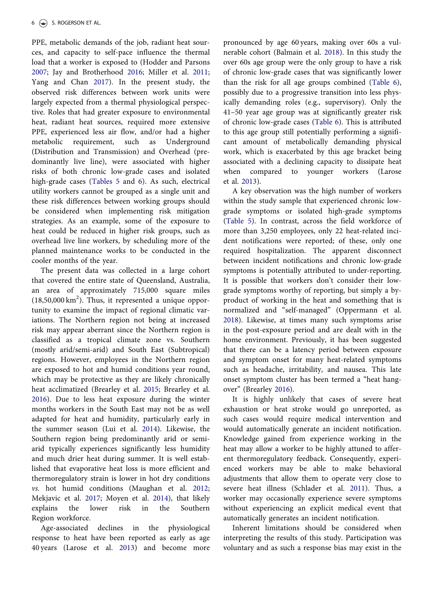<span id="page-5-0"></span>PPE, metabolic demands of the job, radiant heat sources, and capacity to self-pace influence the thermal load that a worker is exposed to (Hodder and Parsons [2007](#page-6-0); Jay and Brotherhood [2016;](#page-6-0) Miller et al. [2011](#page-6-0); Yang and Chan [2017\)](#page-7-0). In the present study, the observed risk differences between work units were largely expected from a thermal physiological perspective. Roles that had greater exposure to environmental heat, radiant heat sources, required more extensive PPE, experienced less air flow, and/or had a higher metabolic requirement, such as Underground (Distribution and Transmission) and Overhead (predominantly live line), were associated with higher risks of both chronic low-grade cases and isolated high-grade cases [\(Tables 5](#page-4-0) and [6](#page-4-0)). As such, electrical utility workers cannot be grouped as a single unit and these risk differences between working groups should be considered when implementing risk mitigation strategies. As an example, some of the exposure to heat could be reduced in higher risk groups, such as overhead live line workers, by scheduling more of the planned maintenance works to be conducted in the cooler months of the year.

The present data was collected in a large cohort that covered the entire state of Queensland, Australia, an area of approximately 715,000 square miles  $(18,50,000 \text{ km}^2)$ . Thus, it represented a unique opportunity to examine the impact of regional climatic variations. The Northern region not being at increased risk may appear aberrant since the Northern region is classified as a tropical climate zone vs. Southern (mostly arid/semi-arid) and South East (Subtropical) regions. However, employees in the Northern region are exposed to hot and humid conditions year round, which may be protective as they are likely chronically heat acclimatized (Brearley et al. [2015](#page-6-0); Brearley et al. [2016](#page-6-0)). Due to less heat exposure during the winter months workers in the South East may not be as well adapted for heat and humidity, particularly early in the summer season (Lui et al. [2014](#page-6-0)). Likewise, the Southern region being predominantly arid or semiarid typically experiences significantly less humidity and much drier heat during summer. It is well established that evaporative heat loss is more efficient and thermoregulatory strain is lower in hot dry conditions vs. hot humid conditions (Maughan et al. [2012](#page-6-0); Mekjavic et al. [2017;](#page-6-0) Moyen et al. [2014\)](#page-7-0), that likely explains the lower risk in the Southern Region workforce.

Age-associated declines in the physiological response to heat have been reported as early as age 40 years (Larose et al. [2013](#page-6-0)) and become more

pronounced by age 60 years, making over 60s a vulnerable cohort (Balmain et al. [2018](#page-6-0)). In this study the over 60s age group were the only group to have a risk of chronic low-grade cases that was significantly lower than the risk for all age groups combined [\(Table 6\)](#page-4-0), possibly due to a progressive transition into less physically demanding roles (e.g., supervisory). Only the 41–50 year age group was at significantly greater risk of chronic low-grade cases [\(Table 6](#page-4-0)). This is attributed to this age group still potentially performing a significant amount of metabolically demanding physical work, which is exacerbated by this age bracket being associated with a declining capacity to dissipate heat when compared to younger workers (Larose et al. [2013\)](#page-6-0).

A key observation was the high number of workers within the study sample that experienced chronic lowgrade symptoms or isolated high-grade symptoms [\(Table 5](#page-4-0)). In contrast, across the field workforce of more than 3,250 employees, only 22 heat-related incident notifications were reported; of these, only one required hospitalization. The apparent disconnect between incident notifications and chronic low-grade symptoms is potentially attributed to under-reporting. It is possible that workers don't consider their lowgrade symptoms worthy of reporting, but simply a byproduct of working in the heat and something that is normalized and "self-managed" (Oppermann et al. [2018\)](#page-7-0). Likewise, at times many such symptoms arise in the post-exposure period and are dealt with in the home environment. Previously, it has been suggested that there can be a latency period between exposure and symptom onset for many heat-related symptoms such as headache, irritability, and nausea. This late onset symptom cluster has been termed a "heat hangover" (Brearley [2016\)](#page-6-0).

It is highly unlikely that cases of severe heat exhaustion or heat stroke would go unreported, as such cases would require medical intervention and would automatically generate an incident notification. Knowledge gained from experience working in the heat may allow a worker to be highly attuned to afferent thermoregulatory feedback. Consequently, experienced workers may be able to make behavioral adjustments that allow them to operate very close to severe heat illness (Schlader et al. [2011](#page-7-0)). Thus, a worker may occasionally experience severe symptoms without experiencing an explicit medical event that automatically generates an incident notification.

Inherent limitations should be considered when interpreting the results of this study. Participation was voluntary and as such a response bias may exist in the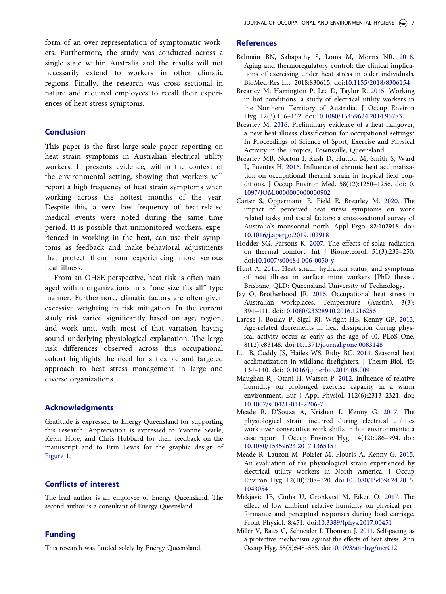<span id="page-6-0"></span>form of an over representation of symptomatic workers. Furthermore, the study was conducted across a single state within Australia and the results will not necessarily extend to workers in other climatic regions. Finally, the research was cross sectional in nature and required employees to recall their experiences of heat stress symptoms.

## Conclusion

This paper is the first large-scale paper reporting on heat strain symptoms in Australian electrical utility workers. It presents evidence, within the context of the environmental setting, showing that workers will report a high frequency of heat strain symptoms when working across the hottest months of the year. Despite this, a very low frequency of heat-related medical events were noted during the same time period. It is possible that unmonitored workers, experienced in working in the heat, can use their symptoms as feedback and make behavioral adjustments that protect them from experiencing more serious heat illness.

From an OHSE perspective, heat risk is often managed within organizations in a "one size fits all" type manner. Furthermore, climatic factors are often given excessive weighting in risk mitigation. In the current study risk varied significantly based on age, region, and work unit, with most of that variation having sound underlying physiological explanation. The large risk differences observed across this occupational cohort highlights the need for a flexible and targeted approach to heat stress management in large and diverse organizations.

### Acknowledgments

Gratitude is expressed to Energy Queensland for supporting this research. Appreciation is expressed to Yvonne Searle, Kevin Hore, and Chris Hubbard for their feedback on the manuscript and to Erin Lewis for the graphic design of [Figure 1](#page-1-0).

## Conflicts of interest

The lead author is an employee of Energy Queensland. The second author is a consultant of Energy Queensland.

#### Funding

This research was funded solely by Energy Queensland.

#### References

- Balmain BN, Sabapathy S, Louis M, Morris NR. [2018](#page-5-0). Aging and thermoregulatory control: the clinical implications of exercising under heat stress in older individuals. BioMed Res Int. 2018:830615. doi:[10.1155/2018/8306154](https://doi.org/10.1155/2018/8306154)
- Brearley M, Harrington P, Lee D, Taylor R. [2015.](#page-1-0) Working in hot conditions: a study of electrical utility workers in the Northern Territory of Australia. J Occup Environ Hyg. 12(3):156–162. doi[:10.1080/15459624.2014.957831](https://doi.org/10.1080/15459624.2014.957831)
- Brearley M. [2016](#page-5-0). Preliminary evidence of a heat hangover, a new heat illness classification for occupational settings? In Proceedings of Science of Sport, Exercise and Physical Activity in the Tropics, Townsville, Queensland.
- Brearley MB, Norton I, Rush D, Hutton M, Smith S, Ward L, Fuentes H. [2016](#page-1-0). Influence of chronic heat acclimatization on occupational thermal strain in tropical field conditions. J Occup Environ Med. 58(12):1250–1256. doi:[10.](https://doi.org/10.1097/JOM.0000000000000902) [1097/JOM.0000000000000902](https://doi.org/10.1097/JOM.0000000000000902)
- Carter S, Oppermann E, Field E, Brearley M. [2020.](#page-2-0) The impact of perceived heat stress symptoms on work related tasks and social factors: a cross-sectional survey of Australia's monsoonal north. Appl Ergo. 82:102918. doi: [10.1016/j.apergo.2019.102918](https://doi.org/10.1016/j.apergo.2019.102918)
- Hodder SG, Parsons K. [2007.](#page-5-0) The effects of solar radiation on thermal comfort. Int J Biometeorol. 51(3):233–250. doi:[10.1007/s00484-006-0050-y](https://doi.org/10.1007/s00484-006-0050-y)
- Hunt A. [2011.](#page-2-0) Heat strain. hydration status, and symptoms of heat illness in surface mine workers [PhD thesis]. Brisbane, QLD: Queensland University of Technology.
- Jay O, Brotherhood JR. [2016](#page-0-0). Occupational heat stress in Australian workplaces. Temperature (Austin). 3(3): 394–411. doi[:10.1080/23328940.2016.1216256](https://doi.org/10.1080/23328940.2016.1216256)
- Larose J, Boulay P, Sigal RJ, Wright HE, Kenny GP. [2013](#page-1-0). Age-related decrements in heat dissipation during physical activity occur as early as the age of 40. PLoS One. 8(12):e83148. doi[:10.1371/journal.pone.0083148](https://doi.org/10.1371/journal.pone.0083148)
- Lui B, Cuddy JS, Hailes WS, Ruby BC. [2014.](#page-5-0) Seasonal heat acclimatization in wildland firefighters. J Therm Biol. 45: 134–140. doi[:10.1016/j.jtherbio.2014.08.009](https://doi.org/10.1016/j.jtherbio.2014.08.009)
- Maughan RJ, Otani H, Watson P. [2012.](#page-5-0) Influence of relative humidity on prolonged exercise capacity in a warm environment. Eur J Appl Physiol. 112(6):2313–2321. doi: [10.1007/s00421-011-2206-7](https://doi.org/10.1007/s00421-011-2206-7)
- Meade R, D'Souza A, Krishen L, Kenny G. 2017. The physiological strain incurred during electrical utilities work over consecutive work shifts in hot environments: a case report. J Occup Environ Hyg. 14(12):986–994. doi: [10.1080/15459624.2017.1365151](https://doi.org/10.1080/15459624.2017.1365151)
- Meade R, Lauzon M, Poirier M, Flouris A, Kenny G. [2015](#page-1-0). An evaluation of the physiological strain experienced by electrical utility workers in North America. J Occup Environ Hyg. 12(10):708–720. doi:[10.1080/15459624.2015.](https://doi.org/10.1080/15459624.2015.1043054) [1043054](https://doi.org/10.1080/15459624.2015.1043054)
- Mekjavic IB, Ciuha U, Gronkvist M, Eiken O. [2017](#page-1-0). The effect of low ambient relative humidity on physical performance and perceptual responses during load carriage. Front Physiol. 8:451. doi[:10.3389/fphys.2017.00451](https://doi.org/10.3389/fphys.2017.00451)
- Miller V, Bates G, Schneider J, Thomsen J. [2011.](#page-5-0) Self-pacing as a protective mechanism against the effects of heat stress. Ann Occup Hyg. 55(5):548–555. doi:[10.1093/annhyg/mer012](https://doi.org/10.1093/annhyg/mer012)